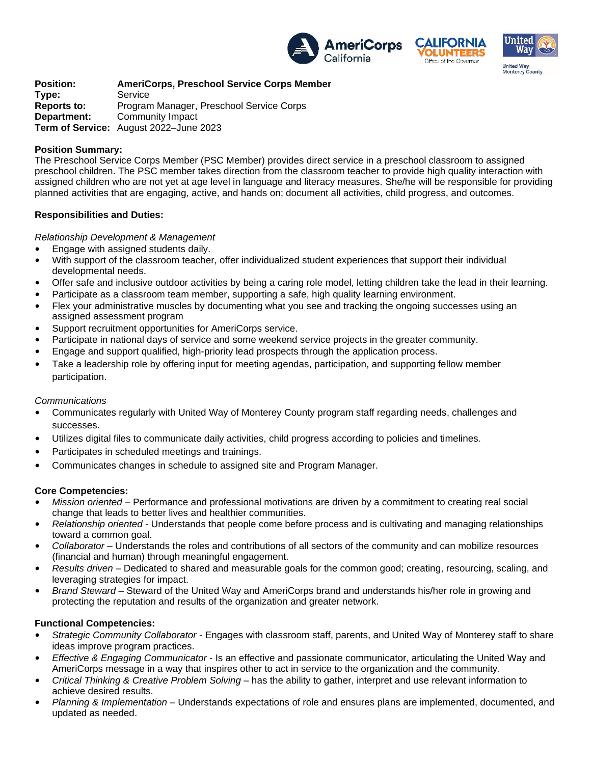





**Position: AmeriCorps, Preschool Service Corps Member** Service **Reports to:** Program Manager, Preschool Service Corps **Department:** Community Impact **Term of Service:** August 2022–June 2023

### **Position Summary:**

The Preschool Service Corps Member (PSC Member) provides direct service in a preschool classroom to assigned preschool children. The PSC member takes direction from the classroom teacher to provide high quality interaction with assigned children who are not yet at age level in language and literacy measures. She/he will be responsible for providing planned activities that are engaging, active, and hands on; document all activities, child progress, and outcomes.

### **Responsibilities and Duties:**

### *Relationship Development & Management*

- Engage with assigned students daily.
- With support of the classroom teacher, offer individualized student experiences that support their individual developmental needs.
- Offer safe and inclusive outdoor activities by being a caring role model, letting children take the lead in their learning.
- Participate as a classroom team member, supporting a safe, high quality learning environment.
- Flex your administrative muscles by documenting what you see and tracking the ongoing successes using an assigned assessment program
- Support recruitment opportunities for AmeriCorps service.
- Participate in national days of service and some weekend service projects in the greater community.
- Engage and support qualified, high-priority lead prospects through the application process.
- Take a leadership role by offering input for meeting agendas, participation, and supporting fellow member participation.

#### *Communications*

- Communicates regularly with United Way of Monterey County program staff regarding needs, challenges and successes.
- Utilizes digital files to communicate daily activities, child progress according to policies and timelines.
- Participates in scheduled meetings and trainings.
- Communicates changes in schedule to assigned site and Program Manager.

#### **Core Competencies:**

- *Mission oriented*  Performance and professional motivations are driven by a commitment to creating real social change that leads to better lives and healthier communities.
- *Relationship oriented*  Understands that people come before process and is cultivating and managing relationships toward a common goal.
- *Collaborator*  Understands the roles and contributions of all sectors of the community and can mobilize resources (financial and human) through meaningful engagement.
- *Results driven*  Dedicated to shared and measurable goals for the common good; creating, resourcing, scaling, and leveraging strategies for impact.
- *Brand Steward*  Steward of the United Way and AmeriCorps brand and understands his/her role in growing and protecting the reputation and results of the organization and greater network.

#### **Functional Competencies:**

- *Strategic Community Collaborator* Engages with classroom staff, parents, and United Way of Monterey staff to share ideas improve program practices.
- *Effective & Engaging Communicator* Is an effective and passionate communicator, articulating the United Way and AmeriCorps message in a way that inspires other to act in service to the organization and the community.
- *Critical Thinking & Creative Problem Solving*  has the ability to gather, interpret and use relevant information to achieve desired results.
- *Planning & Implementation*  Understands expectations of role and ensures plans are implemented, documented, and updated as needed.